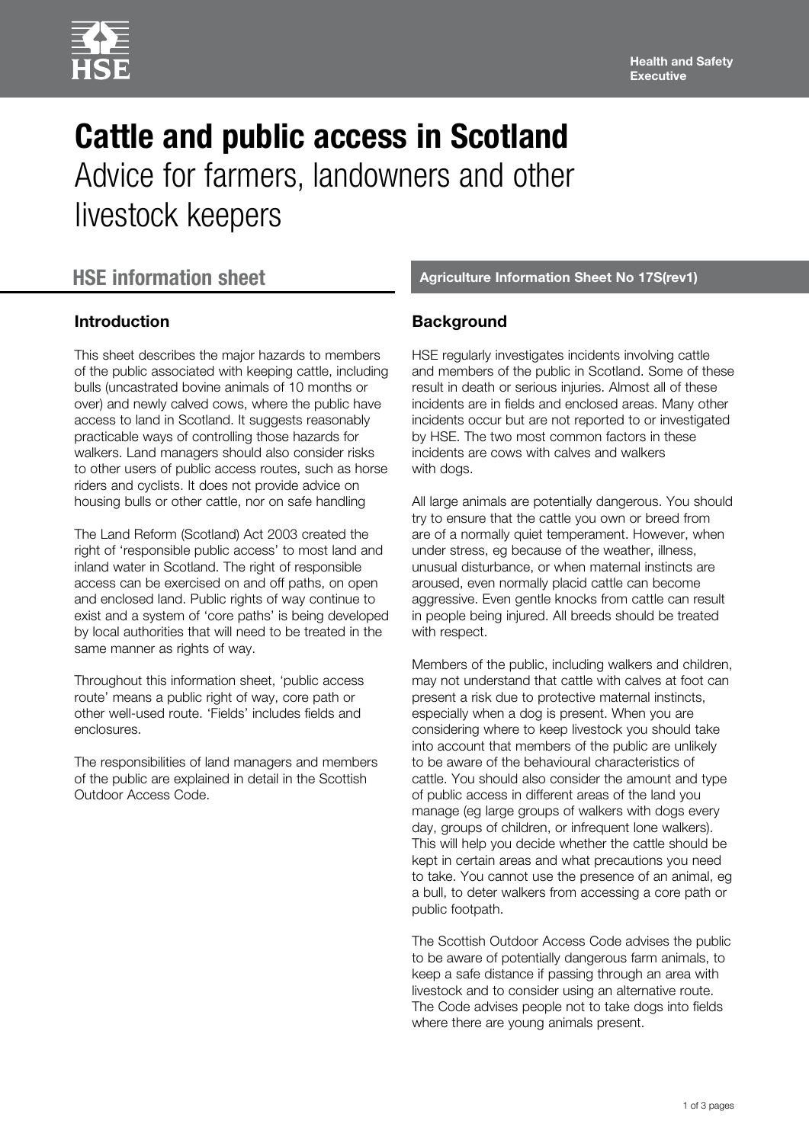

# **Cattle and public access in Scotland**  Advice for farmers, landowners and other livestock keepers

# **Introduction**

This sheet describes the major hazards to members of the public associated with keeping cattle, including bulls (uncastrated bovine animals of 10 months or over) and newly calved cows, where the public have access to land in Scotland. It suggests reasonably practicable ways of controlling those hazards for walkers. Land managers should also consider risks to other users of public access routes, such as horse riders and cyclists. It does not provide advice on housing bulls or other cattle, nor on safe handling

The Land Reform (Scotland) Act 2003 created the right of 'responsible public access' to most land and inland water in Scotland. The right of responsible access can be exercised on and off paths, on open and enclosed land. Public rights of way continue to exist and a system of 'core paths' is being developed by local authorities that will need to be treated in the same manner as rights of way.

Throughout this information sheet, 'public access route' means a public right of way, core path or other well-used route. 'Fields' includes fields and enclosures.

The responsibilities of land managers and members of the public are explained in detail in the Scottish Outdoor Access Code.

**HSE information sheet Agriculture Information Sheet No 17S(rev1)** Agriculture Information Sheet No 17S(rev1)

# **Background**

HSE regularly investigates incidents involving cattle and members of the public in Scotland. Some of these result in death or serious injuries. Almost all of these incidents are in fields and enclosed areas. Many other incidents occur but are not reported to or investigated by HSE. The two most common factors in these incidents are cows with calves and walkers with dogs.

All large animals are potentially dangerous. You should try to ensure that the cattle you own or breed from are of a normally quiet temperament. However, when under stress, eg because of the weather, illness, unusual disturbance, or when maternal instincts are aroused, even normally placid cattle can become aggressive. Even gentle knocks from cattle can result in people being injured. All breeds should be treated with respect.

Members of the public, including walkers and children, may not understand that cattle with calves at foot can present a risk due to protective maternal instincts, especially when a dog is present. When you are considering where to keep livestock you should take into account that members of the public are unlikely to be aware of the behavioural characteristics of cattle. You should also consider the amount and type of public access in different areas of the land you manage (eg large groups of walkers with dogs every day, groups of children, or infrequent lone walkers). This will help you decide whether the cattle should be kept in certain areas and what precautions you need to take. You cannot use the presence of an animal, eg a bull, to deter walkers from accessing a core path or public footpath.

The Scottish Outdoor Access Code advises the public to be aware of potentially dangerous farm animals, to keep a safe distance if passing through an area with livestock and to consider using an alternative route. The Code advises people not to take dogs into fields where there are young animals present.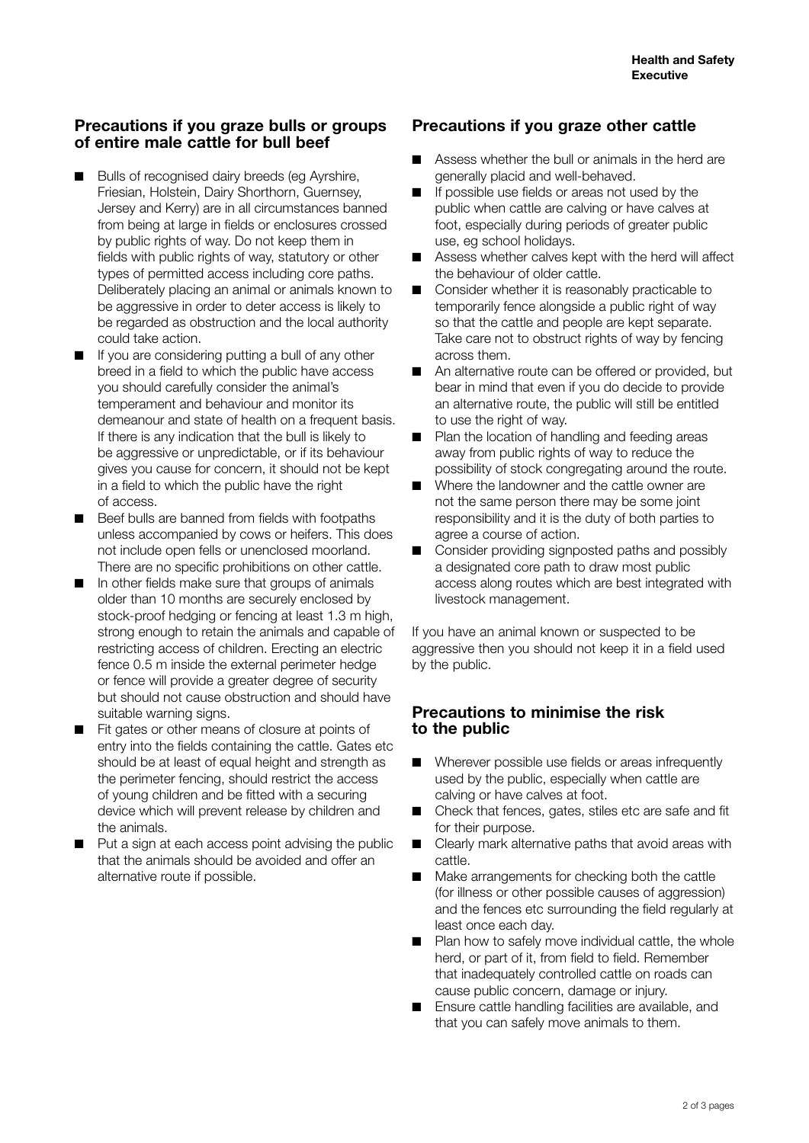### **Precautions if you graze bulls or groups of entire male cattle for bull beef**

- Bulls of recognised dairy breeds (eg Ayrshire, Friesian, Holstein, Dairy Shorthorn, Guernsey, Jersey and Kerry) are in all circumstances banned from being at large in fields or enclosures crossed by public rights of way. Do not keep them in fields with public rights of way, statutory or other types of permitted access including core paths. Deliberately placing an animal or animals known to be aggressive in order to deter access is likely to be regarded as obstruction and the local authority could take action.
- If you are considering putting a bull of any other breed in a field to which the public have access you should carefully consider the animal's temperament and behaviour and monitor its demeanour and state of health on a frequent basis. If there is any indication that the bull is likely to be aggressive or unpredictable, or if its behaviour gives you cause for concern, it should not be kept in a field to which the public have the right of access.
- Beef bulls are banned from fields with footpaths unless accompanied by cows or heifers. This does not include open fells or unenclosed moorland. There are no specific prohibitions on other cattle.
- In other fields make sure that groups of animals older than 10 months are securely enclosed by stock-proof hedging or fencing at least 1.3 m high, strong enough to retain the animals and capable of restricting access of children. Erecting an electric fence 0.5 m inside the external perimeter hedge or fence will provide a greater degree of security but should not cause obstruction and should have suitable warning signs.
- Fit gates or other means of closure at points of entry into the fields containing the cattle. Gates etc should be at least of equal height and strength as the perimeter fencing, should restrict the access of young children and be fitted with a securing device which will prevent release by children and the animals.
- Put a sign at each access point advising the public that the animals should be avoided and offer an alternative route if possible.

## **Precautions if you graze other cattle**

- Assess whether the bull or animals in the herd are generally placid and well-behaved.
- If possible use fields or areas not used by the public when cattle are calving or have calves at foot, especially during periods of greater public use, eg school holidays.
- Assess whether calves kept with the herd will affect the behaviour of older cattle.
- Consider whether it is reasonably practicable to temporarily fence alongside a public right of way so that the cattle and people are kept separate. Take care not to obstruct rights of way by fencing across them.
- An alternative route can be offered or provided, but bear in mind that even if you do decide to provide an alternative route, the public will still be entitled to use the right of way.
- Plan the location of handling and feeding areas away from public rights of way to reduce the possibility of stock congregating around the route.
- Where the landowner and the cattle owner are not the same person there may be some joint responsibility and it is the duty of both parties to agree a course of action.
- Consider providing signposted paths and possibly a designated core path to draw most public access along routes which are best integrated with livestock management.

If you have an animal known or suspected to be aggressive then you should not keep it in a field used by the public.

#### **Precautions to minimise the risk to the public**

- Wherever possible use fields or areas infrequently used by the public, especially when cattle are calving or have calves at foot.
- Check that fences, gates, stiles etc are safe and fit for their purpose.
- Clearly mark alternative paths that avoid areas with cattle.
- Make arrangements for checking both the cattle (for illness or other possible causes of aggression) and the fences etc surrounding the field regularly at least once each day.
- Plan how to safely move individual cattle, the whole herd, or part of it, from field to field. Remember that inadequately controlled cattle on roads can cause public concern, damage or injury.
- Ensure cattle handling facilities are available, and that you can safely move animals to them.